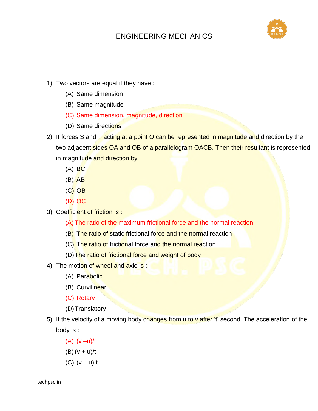

- 1) Two vectors are equal if they have :
	- (A) Same dimension
	- (B) Same magnitude
	- (C) Same dimension, magnitude, direction
	- (D) Same directions
- 2) If forces S and  $\overline{T}$  acting at a point O can be represented in magnitude and direction by the two adjacent sides OA and OB of a parallelogram OACB. Then their resultant is represented in magnitude and direction by :
	- $(A)$  BC
	- $(B)$  AB
	- (C) OB
	- (D) OC
- 3) Coefficient of friction is :
	- (A) The ratio of the maximum frictional force and the normal reaction
	- (B) The ratio of static frictional force and the normal reaction
	- (C) The ratio of frictional force and the normal reaction
	- (D) The ratio of frictional force and weight of body
- 4) The motion of wheel and axle is:
	- (A) Parabolic
	- (B) Curvilinear
	- (C) Rotary
	- (D) Translatory
- 5) If the velocity of a moving body changes from u to v after 't' second. The acceleration of the body is :
	- (A) (v –u)/t
	- (B)  $(v + u)/t$
	- $(C)$   $(v u)$  t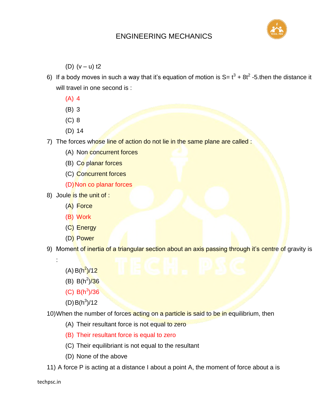

(D)  $(v - u)$  t2

- 6) If a body moves in such a way that it's equation of motion is S=  $t^3$  + 8t<sup>2</sup> -5.then the distance it will travel in one second is :
	- (A) 4
	- (B) 3
	- (C) 8
	- (D) 14
- 7) The forces whose line of action do not lie in the same plane are called :
	- (A) Non concurrent forces
	- (B) Co planar forces
	- (C) Concurrent forces
	- (D) Non co planar forces
- 8) Joule is the unit of :
	- (A) Force
	- (B) Work
	- (C) Energy
	- (D) Power
- 9) Moment of inertia of a triangular section about an axis passing through it's centre of gravity is
	- (A) B(h<sup>2</sup>)/12

:

- (B)  $B(h^2)/36$
- $(C)$  B(h<sup>3</sup>)/36
- $(D) B(h^3)/12$

10) When the number of forces acting on a particle is said to be in equilibrium, then

- (A) Their resultant force is not equal to zero
- (B) Their resultant force is equal to zero
- (C) Their equilibriant is not equal to the resultant
- (D) None of the above
- 11) A force P is acting at a distance I about a point A, the moment of force about a is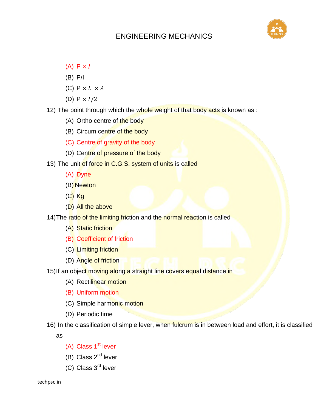

- (A)  $P \times I$
- (B) P/I
- (C)  $P \times L \times A$
- (D)  $P \times I/2$
- 12) The point through which the whole weight of that body acts is known as :
	- (A) Ortho centre of the body
	- (B) Circum centre of the body
	- (C) Centre of gravity of the body
	- (D) Centre of pressure of the body
- 13) The unit of force in C.G.S. system of units is called
	- (A) Dyne
	- (B) Newton
	- (C) Kg
	- (D) All the above
- 14) The ratio of the limiting friction and the normal reaction is called
	- (A) Static friction
	- (B) Coefficient of friction
	- (C) Limiting friction
	- (D) Angle of friction
- 15) If an object moving along a straight line covers equal distance in
	- (A) Rectilinear motion
	- (B) Uniform motion
	- (C) Simple harmonic motion
	- (D) Periodic time
- 16) In the classification of simple lever, when fulcrum is in between load and effort, it is classified

as

- (A) Class  $1<sup>st</sup>$  lever
- (B) Class  $2^{nd}$  lever
- (C) Class 3rd lever